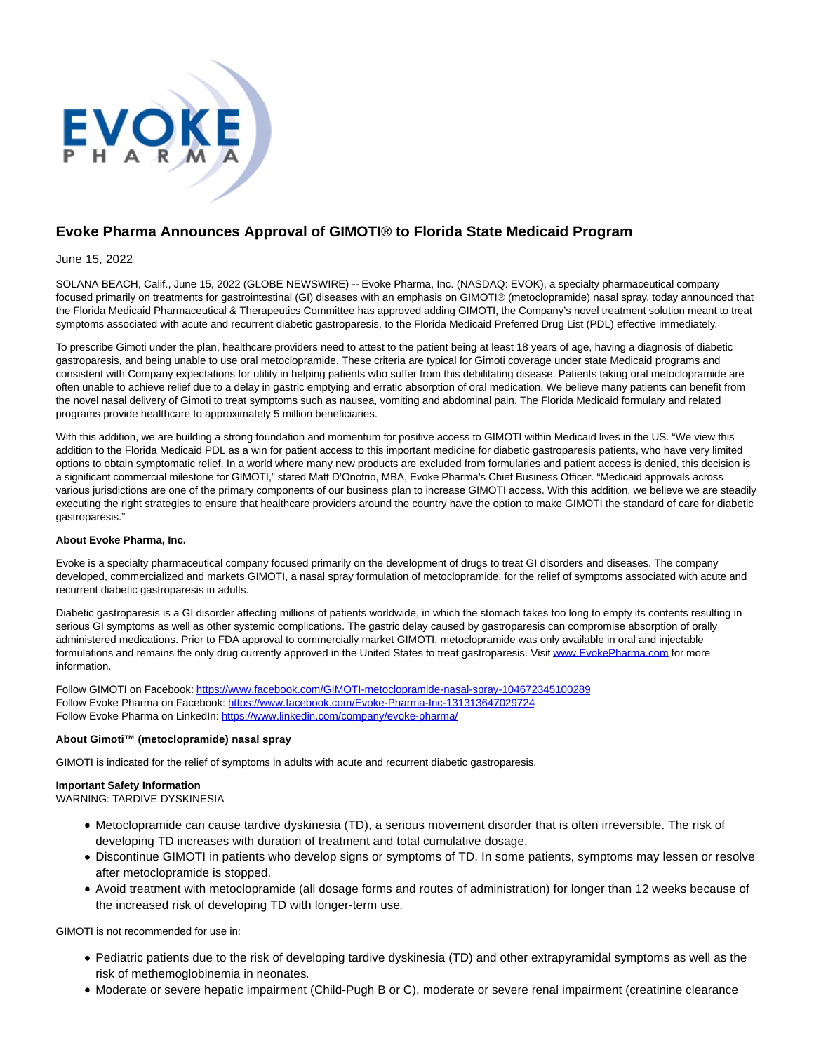

# **Evoke Pharma Announces Approval of GIMOTI® to Florida State Medicaid Program**

## June 15, 2022

SOLANA BEACH, Calif., June 15, 2022 (GLOBE NEWSWIRE) -- Evoke Pharma, Inc. (NASDAQ: EVOK), a specialty pharmaceutical company focused primarily on treatments for gastrointestinal (GI) diseases with an emphasis on GIMOTI® (metoclopramide) nasal spray, today announced that the Florida Medicaid Pharmaceutical & Therapeutics Committee has approved adding GIMOTI, the Company's novel treatment solution meant to treat symptoms associated with acute and recurrent diabetic gastroparesis, to the Florida Medicaid Preferred Drug List (PDL) effective immediately.

To prescribe Gimoti under the plan, healthcare providers need to attest to the patient being at least 18 years of age, having a diagnosis of diabetic gastroparesis, and being unable to use oral metoclopramide. These criteria are typical for Gimoti coverage under state Medicaid programs and consistent with Company expectations for utility in helping patients who suffer from this debilitating disease. Patients taking oral metoclopramide are often unable to achieve relief due to a delay in gastric emptying and erratic absorption of oral medication. We believe many patients can benefit from the novel nasal delivery of Gimoti to treat symptoms such as nausea, vomiting and abdominal pain. The Florida Medicaid formulary and related programs provide healthcare to approximately 5 million beneficiaries.

With this addition, we are building a strong foundation and momentum for positive access to GIMOTI within Medicaid lives in the US. "We view this addition to the Florida Medicaid PDL as a win for patient access to this important medicine for diabetic gastroparesis patients, who have very limited options to obtain symptomatic relief. In a world where many new products are excluded from formularies and patient access is denied, this decision is a significant commercial milestone for GIMOTI," stated Matt D'Onofrio, MBA, Evoke Pharma's Chief Business Officer. "Medicaid approvals across various jurisdictions are one of the primary components of our business plan to increase GIMOTI access. With this addition, we believe we are steadily executing the right strategies to ensure that healthcare providers around the country have the option to make GIMOTI the standard of care for diabetic gastroparesis."

## **About Evoke Pharma, Inc.**

Evoke is a specialty pharmaceutical company focused primarily on the development of drugs to treat GI disorders and diseases. The company developed, commercialized and markets GIMOTI, a nasal spray formulation of metoclopramide, for the relief of symptoms associated with acute and recurrent diabetic gastroparesis in adults.

Diabetic gastroparesis is a GI disorder affecting millions of patients worldwide, in which the stomach takes too long to empty its contents resulting in serious GI symptoms as well as other systemic complications. The gastric delay caused by gastroparesis can compromise absorption of orally administered medications. Prior to FDA approval to commercially market GIMOTI, metoclopramide was only available in oral and injectable formulations and remains the only drug currently approved in the United States to treat gastroparesis. Visi[t www.EvokePharma.com f](https://www.globenewswire.com/Tracker?data=R8OGtiCa_WxWHIovzJDR_OnDybrmpZ4REy8ZKw0jlIO_IoNt7FJicYuL_nc6yJ7eLwxqDpexmakVH7ql1K3em3Q4ki4-gspVng7rzu5rozGKRdOVZZchmfwMGnIFCEJB_deeMaynoKUau46Jqw4jd1Gsz8NQmVd-gYfgyXeIAmfmtmW3_f35R85dx8LqwNChoq4yuB1aoCTCuMwhrnxLlAiWbWc0r1GCpcwVfN6XFWZQ6WUYUYXJz6XL4o8BB0nk)or more information.

Follow GIMOTI on Facebook: [https://www.facebook.com/GIMOTI-metoclopramide-nasal-spray-104672345100289](https://www.globenewswire.com/Tracker?data=PGXAxsf-TOajtKbCptO8-aD8pBTjD7osNgcQ7jtCgwVDhn5OdxzMsq7s1I2G0UJ-EFXWj8hCU80KwQrA1ZOi9GElje1VQ9ZKBf93Ni4-UeCBziamvkzoYmnAgqKVfeD8QLIN1zPWXrQ62L38gqDkzi-5kHxLQPN9C91OUjM62SG93SZYl6a_Yt4pe8mjs6oeWDE8Svug3Giy808X-qWxGvEYtgzTXsvk9bkCO2DHpMTEfncJElKALEnquYEoVHf2lxFpHcsIMhsmkFUuynEGPaWPYVqeCLeBQaCXv4l-V39srbG8fVkEPWt_WPiL1msNrcT0C_R1HTfW3o5_nrzPrwbA_OOWcyOfkvy7ruV5fbFycbe0PRpLQX06pzSu_-ShaYxOPGxuk6FbfXcwAVAxX06i76DZzCCLZwpoKBs5tMUUJdSSL9q6oKZXGahmYVvVU5PWZLp6dxMSyqvQ7Le3Djdh6J5rXUndZpuiiR91oyDhjGLStF0E8J7pciy1ZpyL) Follow Evoke Pharma on Facebook: [https://www.facebook.com/Evoke-Pharma-Inc-131313647029724](https://www.globenewswire.com/Tracker?data=PGXAxsf-TOajtKbCptO8-aD8pBTjD7osNgcQ7jtCgwX5VJZqMhEoP2gj9ZQBf5Q8HCbD51pbQVQipd8tZK1H-thLXnJJ2sMeAf8gSDWl6h-tXvDKw29_ieqeTS5_dIeuxvj6BUh3yQmqY8sGNWkSwVsNcO0OW-STqvI74ELurrAfThb1n9FzRVGUj0uYJklRGqT9ntnOQnrQFRVTW1punfKRY0OIj4vw_Ss-mBC-itXgJbWi2PyFC4aZbJSHFWIPI3gsPXzWQ3OIzEFWa4Co8mnvQr1G2sgJLfxgUkeRa5RIYCZ7wjPAmwM4a_NfcM70uawlBbB0Azqoy5-FooyleZ2ptiggMTc4Gpbzi7nlbx05tjB7toted3QOr7HO8o1qkUXlSiOD8Md-m8nIwBshiMt8g7Az-omC7Ikb2ca_Q1M=) Follow Evoke Pharma on LinkedIn: [https://www.linkedin.com/company/evoke-pharma/](https://www.globenewswire.com/Tracker?data=PGXAxsf-TOajtKbCptO8-f4Md1wyFJy2rVPvE_k39mgNFaff4wJt2f24otf_RBQKvsin1rZ60oUK4nhQCFN-TdNHgCGhQ2nvXkV6vz5xLxZdjwQFDjCpomDm88OelrlxzQ0_9OVIMZ2JGpqfxZ-PFqDiNc7QiPjc88aLxBZqcOMDdugFarL7L_29LiZNh4jiywtUx0tyEKfiEWwuGYEGzuKBydebDXKn8eZja6d_uDhGP3F5aECzyywbwgUD0B4fK9xYGM7uYO7Uunydu2RNHaIfjDZcr1Nz9RsEMklanO5RX112DM-IcKn7xZ8vnXt2V-xqWsSA0oSqnMjhcVgyuD0RIStrGAJ4BqjTpkDjmZHbZZM4EKCCxONJmXNO5ajx)

# **About Gimoti™ (metoclopramide) nasal spray**

GIMOTI is indicated for the relief of symptoms in adults with acute and recurrent diabetic gastroparesis.

# **Important Safety Information**

WARNING: TARDIVE DYSKINESIA

- Metoclopramide can cause tardive dyskinesia (TD), a serious movement disorder that is often irreversible. The risk of developing TD increases with duration of treatment and total cumulative dosage.
- Discontinue GIMOTI in patients who develop signs or symptoms of TD. In some patients, symptoms may lessen or resolve after metoclopramide is stopped.
- Avoid treatment with metoclopramide (all dosage forms and routes of administration) for longer than 12 weeks because of the increased risk of developing TD with longer-term use.

GIMOTI is not recommended for use in:

- Pediatric patients due to the risk of developing tardive dyskinesia (TD) and other extrapyramidal symptoms as well as the risk of methemoglobinemia in neonates.
- Moderate or severe hepatic impairment (Child-Pugh B or C), moderate or severe renal impairment (creatinine clearance